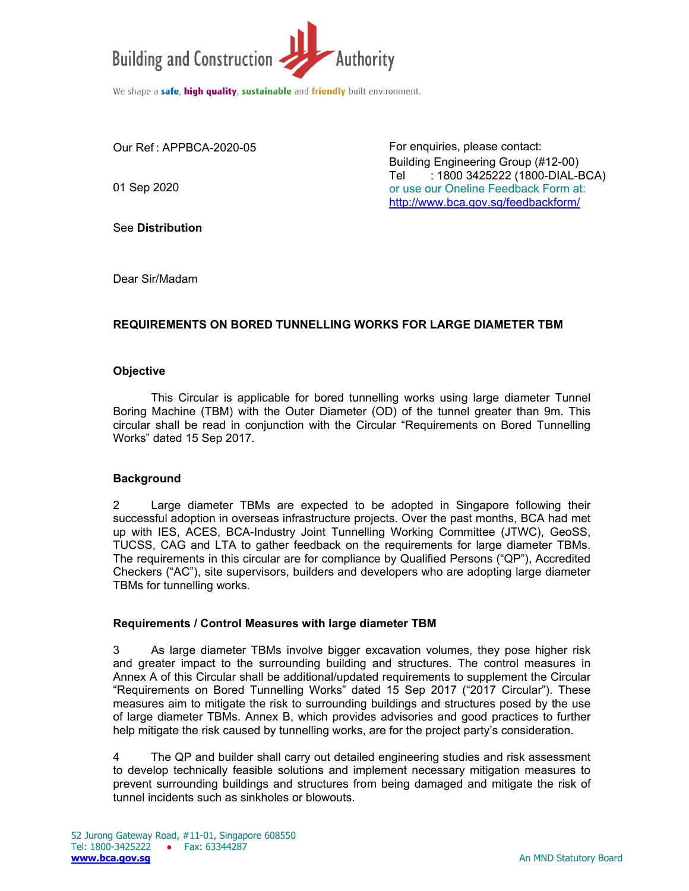

Our Ref : APPBCA-2020-05

01 Sep 2020

For enquiries, please contact: Building Engineering Group (#12-00) Tel : 1800 3425222 (1800-DIAL-BCA) or use our Oneline Feedback Form at: http://www.bca.gov.sg/feedbackform/

See **Distribution** 

Dear Sir/Madam

## **REQUIREMENTS ON BORED TUNNELLING WORKS FOR LARGE DIAMETER TBM**

#### **Objective**

 This Circular is applicable for bored tunnelling works using large diameter Tunnel Boring Machine (TBM) with the Outer Diameter (OD) of the tunnel greater than 9m. This circular shall be read in conjunction with the Circular "Requirements on Bored Tunnelling Works" dated 15 Sep 2017.

## **Background**

2 Large diameter TBMs are expected to be adopted in Singapore following their successful adoption in overseas infrastructure projects. Over the past months, BCA had met up with IES, ACES, BCA-Industry Joint Tunnelling Working Committee (JTWC), GeoSS, TUCSS, CAG and LTA to gather feedback on the requirements for large diameter TBMs. The requirements in this circular are for compliance by Qualified Persons ("QP"), Accredited Checkers ("AC"), site supervisors, builders and developers who are adopting large diameter TBMs for tunnelling works.

#### **Requirements / Control Measures with large diameter TBM**

3 As large diameter TBMs involve bigger excavation volumes, they pose higher risk and greater impact to the surrounding building and structures. The control measures in Annex A of this Circular shall be additional/updated requirements to supplement the Circular "Requirements on Bored Tunnelling Works" dated 15 Sep 2017 ("2017 Circular"). These measures aim to mitigate the risk to surrounding buildings and structures posed by the use of large diameter TBMs. Annex B, which provides advisories and good practices to further help mitigate the risk caused by tunnelling works, are for the project party's consideration.

4The QP and builder shall carry out detailed engineering studies and risk assessment to develop technically feasible solutions and implement necessary mitigation measures to prevent surrounding buildings and structures from being damaged and mitigate the risk of tunnel incidents such as sinkholes or blowouts.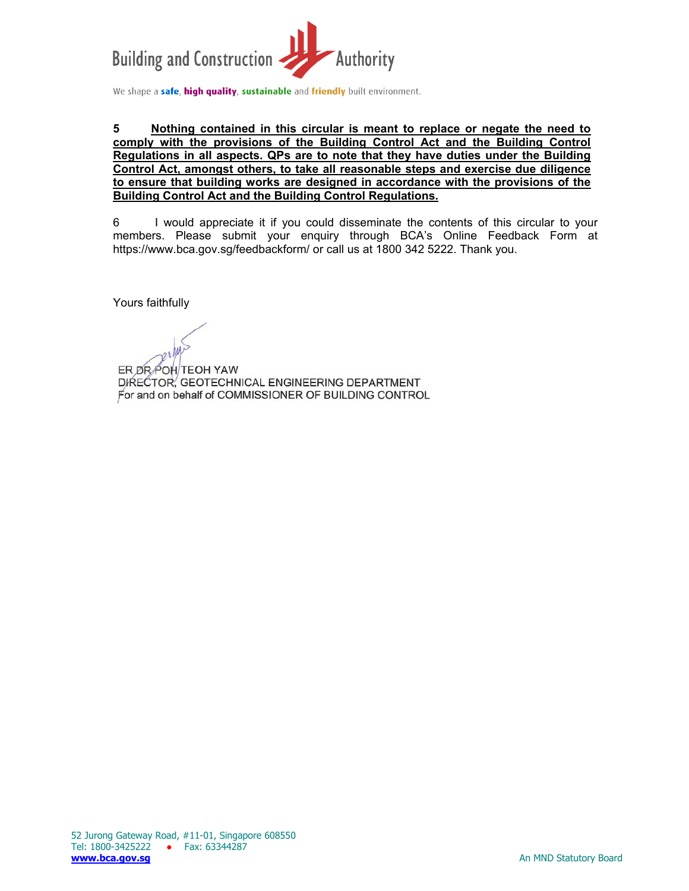

#### **5 Nothing contained in this circular is meant to replace or negate the need to comply with the provisions of the Building Control Act and the Building Control Regulations in all aspects. QPs are to note that they have duties under the Building Control Act, amongst others, to take all reasonable steps and exercise due diligence to ensure that building works are designed in accordance with the provisions of the Building Control Act and the Building Control Regulations.**

6 I would appreciate it if you could disseminate the contents of this circular to your members. Please submit your enquiry through BCA's Online Feedback Form at https://www.bca.gov.sg/feedbackform/ or call us at 1800 342 5222. Thank you.

Yours faithfully

ER DR POH TEOH YAW DIRECTOR, GEOTECHNICAL ENGINEERING DEPARTMENT For and on behalf of COMMISSIONER OF BUILDING CONTROL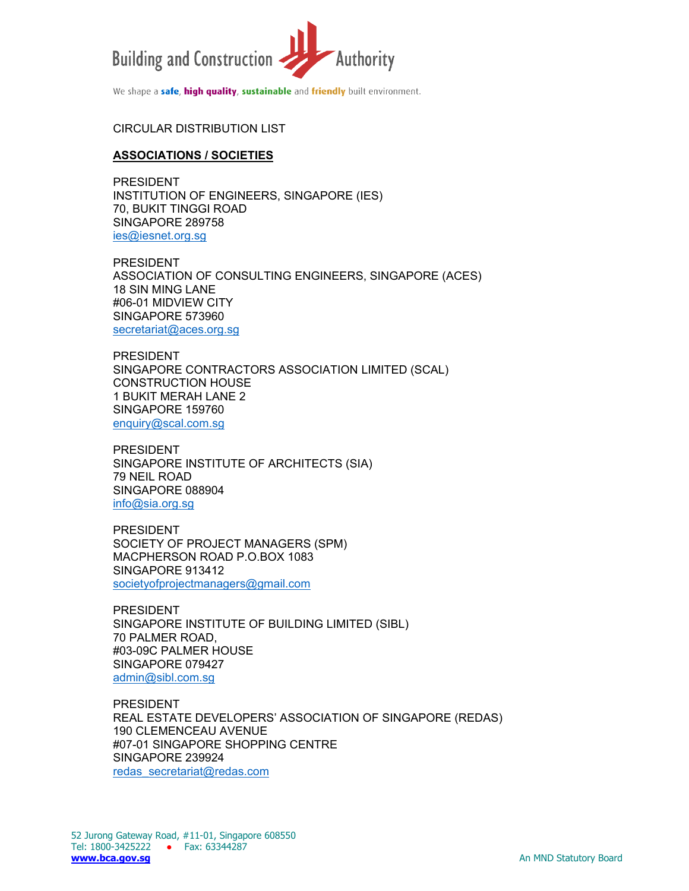

# CIRCULAR DISTRIBUTION LIST

#### **ASSOCIATIONS / SOCIETIES**

PRESIDENT INSTITUTION OF ENGINEERS, SINGAPORE (IES) 70, BUKIT TINGGI ROAD SINGAPORE 289758 ies@iesnet.org.sg

PRESIDENT ASSOCIATION OF CONSULTING ENGINEERS, SINGAPORE (ACES) 18 SIN MING LANE #06-01 MIDVIEW CITY SINGAPORE 573960 secretariat@aces.org.sq

PRESIDENT SINGAPORE CONTRACTORS ASSOCIATION LIMITED (SCAL) CONSTRUCTION HOUSE 1 BUKIT MERAH LANE 2 SINGAPORE 159760 enquiry@scal.com.sg

PRESIDENT SINGAPORE INSTITUTE OF ARCHITECTS (SIA) 79 NEIL ROAD SINGAPORE 088904 info@sia.org.sg

PRESIDENT SOCIETY OF PROJECT MANAGERS (SPM) MACPHERSON ROAD P.O.BOX 1083 SINGAPORE 913412 societyofprojectmanagers@gmail.com

PRESIDENT SINGAPORE INSTITUTE OF BUILDING LIMITED (SIBL) 70 PALMER ROAD, #03-09C PALMER HOUSE SINGAPORE 079427 admin@sibl.com.sg

PRESIDENT REAL ESTATE DEVELOPERS' ASSOCIATION OF SINGAPORE (REDAS) 190 CLEMENCEAU AVENUE #07-01 SINGAPORE SHOPPING CENTRE SINGAPORE 239924 redas\_secretariat@redas.com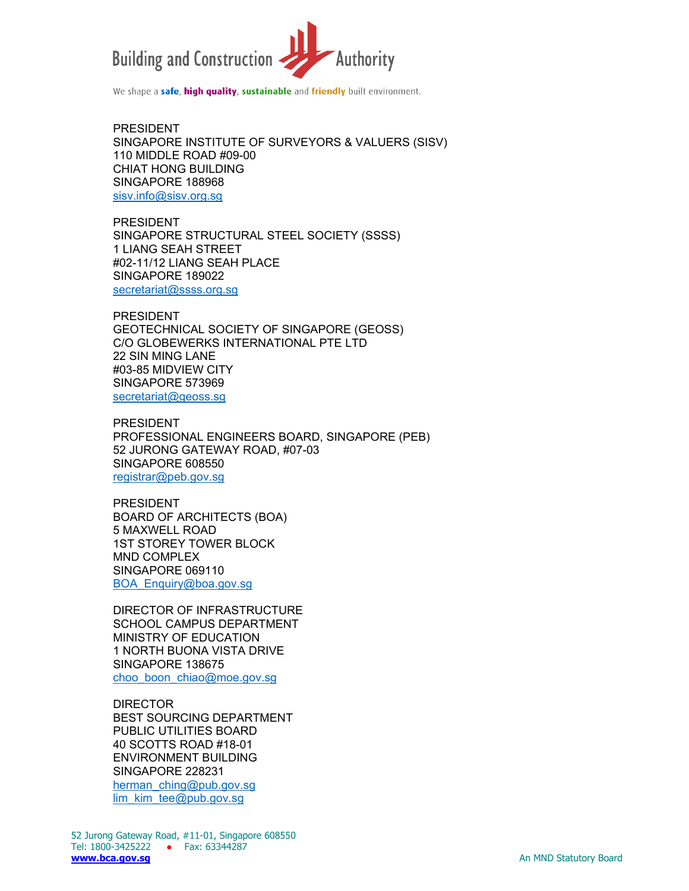

PRESIDENT SINGAPORE INSTITUTE OF SURVEYORS & VALUERS (SISV) 110 MIDDLE ROAD #09-00 CHIAT HONG BUILDING SINGAPORE 188968 sisv.info@sisv.org.sg

PRESIDENT SINGAPORE STRUCTURAL STEEL SOCIETY (SSSS) 1 LIANG SEAH STREET #02-11/12 LIANG SEAH PLACE SINGAPORE 189022 secretariat@ssss.org.sg

PRESIDENT GEOTECHNICAL SOCIETY OF SINGAPORE (GEOSS) C/O GLOBEWERKS INTERNATIONAL PTE LTD 22 SIN MING LANE #03-85 MIDVIEW CITY SINGAPORE 573969 secretariat@geoss.sg

PRESIDENT PROFESSIONAL ENGINEERS BOARD, SINGAPORE (PEB) 52 JURONG GATEWAY ROAD, #07-03 SINGAPORE 608550 registrar@peb.gov.sg

PRESIDENT BOARD OF ARCHITECTS (BOA) 5 MAXWELL ROAD 1ST STOREY TOWER BLOCK MND COMPLEX SINGAPORE 069110 BOA\_Enquiry@boa.gov.sg

DIRECTOR OF INFRASTRUCTURE SCHOOL CAMPUS DEPARTMENT MINISTRY OF EDUCATION 1 NORTH BUONA VISTA DRIVE SINGAPORE 138675 choo\_boon\_chiao@moe.gov.sg

DIRECTOR BEST SOURCING DEPARTMENT PUBLIC UTILITIES BOARD 40 SCOTTS ROAD #18-01 ENVIRONMENT BUILDING SINGAPORE 228231 herman\_ching@pub.gov.sg lim\_kim\_tee@pub.gov.sg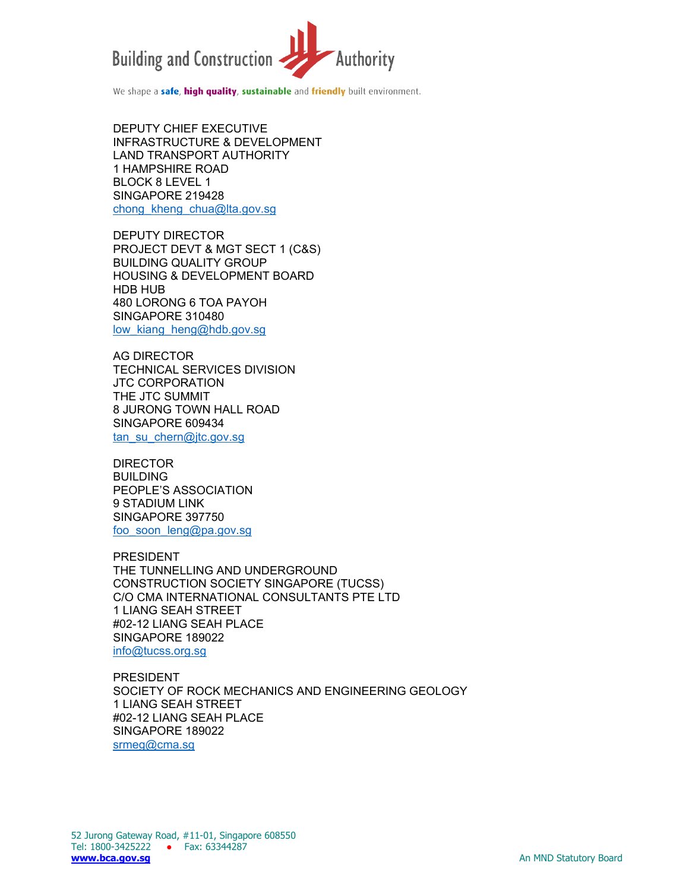

DEPUTY CHIEF EXECUTIVE INFRASTRUCTURE & DEVELOPMENT LAND TRANSPORT AUTHORITY 1 HAMPSHIRE ROAD BLOCK 8 LEVEL 1 SINGAPORE 219428 chong\_kheng\_chua@lta.gov.sg

DEPUTY DIRECTOR PROJECT DEVT & MGT SECT 1 (C&S) BUILDING QUALITY GROUP HOUSING & DEVELOPMENT BOARD HDB HUB 480 LORONG 6 TOA PAYOH SINGAPORE 310480 low kiang heng@hdb.gov.sg

AG DIRECTOR TECHNICAL SERVICES DIVISION JTC CORPORATION THE JTC SUMMIT 8 JURONG TOWN HALL ROAD SINGAPORE 609434 tan\_su\_chern@jtc.gov.sg

DIRECTOR BUILDING PEOPLE'S ASSOCIATION 9 STADIUM LINK SINGAPORE 397750 foo\_soon\_leng@pa.gov.sg

PRESIDENT THE TUNNELLING AND UNDERGROUND CONSTRUCTION SOCIETY SINGAPORE (TUCSS) C/O CMA INTERNATIONAL CONSULTANTS PTE LTD 1 LIANG SEAH STREET #02-12 LIANG SEAH PLACE SINGAPORE 189022 info@tucss.org.sg

PRESIDENT SOCIETY OF ROCK MECHANICS AND ENGINEERING GEOLOGY 1 LIANG SEAH STREET #02-12 LIANG SEAH PLACE SINGAPORE 189022 srmeg@cma.sq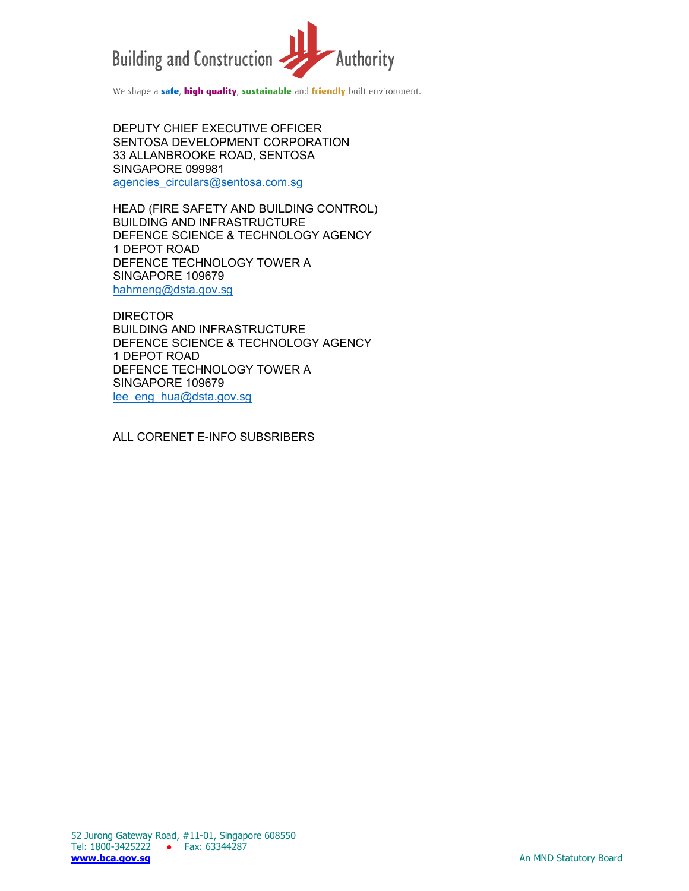

DEPUTY CHIEF EXECUTIVE OFFICER SENTOSA DEVELOPMENT CORPORATION 33 ALLANBROOKE ROAD, SENTOSA SINGAPORE 099981 agencies\_circulars@sentosa.com.sg

HEAD (FIRE SAFETY AND BUILDING CONTROL) BUILDING AND INFRASTRUCTURE DEFENCE SCIENCE & TECHNOLOGY AGENCY 1 DEPOT ROAD DEFENCE TECHNOLOGY TOWER A SINGAPORE 109679 hahmeng@dsta.gov.sg

DIRECTOR BUILDING AND INFRASTRUCTURE DEFENCE SCIENCE & TECHNOLOGY AGENCY 1 DEPOT ROAD DEFENCE TECHNOLOGY TOWER A SINGAPORE 109679 lee\_eng\_hua@dsta.gov.sg

ALL CORENET E-INFO SUBSRIBERS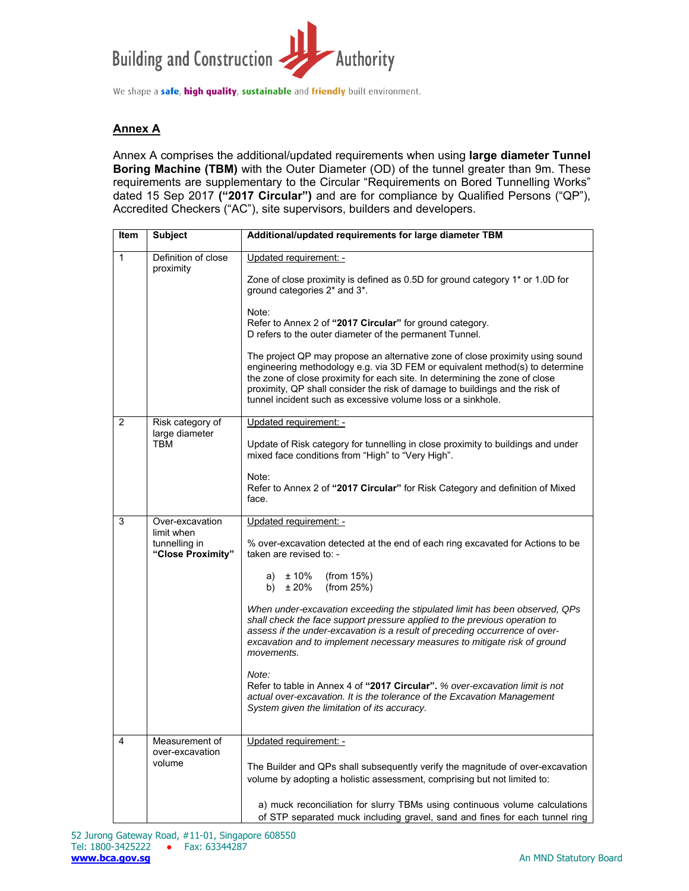

## **Annex A**

Annex A comprises the additional/updated requirements when using **large diameter Tunnel Boring Machine (TBM)** with the Outer Diameter (OD) of the tunnel greater than 9m. These requirements are supplementary to the Circular "Requirements on Bored Tunnelling Works" dated 15 Sep 2017 **("2017 Circular")** and are for compliance by Qualified Persons ("QP"), Accredited Checkers ("AC"), site supervisors, builders and developers.

| <b>Item</b>    | <b>Subject</b>                                   | Additional/updated requirements for large diameter TBM                                                                                                                                                                                                                                                                                                                                                                                   |
|----------------|--------------------------------------------------|------------------------------------------------------------------------------------------------------------------------------------------------------------------------------------------------------------------------------------------------------------------------------------------------------------------------------------------------------------------------------------------------------------------------------------------|
| $\mathbf{1}$   | Definition of close<br>proximity                 | Updated requirement: -<br>Zone of close proximity is defined as 0.5D for ground category 1* or 1.0D for<br>ground categories 2* and 3*.<br>Note:<br>Refer to Annex 2 of "2017 Circular" for ground category.<br>D refers to the outer diameter of the permanent Tunnel.<br>The project QP may propose an alternative zone of close proximity using sound<br>engineering methodology e.g. via 3D FEM or equivalent method(s) to determine |
|                |                                                  | the zone of close proximity for each site. In determining the zone of close<br>proximity, QP shall consider the risk of damage to buildings and the risk of<br>tunnel incident such as excessive volume loss or a sinkhole.                                                                                                                                                                                                              |
| 2              | Risk category of                                 | Updated requirement: -                                                                                                                                                                                                                                                                                                                                                                                                                   |
|                | large diameter<br>TBM                            | Update of Risk category for tunnelling in close proximity to buildings and under<br>mixed face conditions from "High" to "Very High".                                                                                                                                                                                                                                                                                                    |
|                |                                                  | Note:<br>Refer to Annex 2 of "2017 Circular" for Risk Category and definition of Mixed<br>face.                                                                                                                                                                                                                                                                                                                                          |
| 3              | Over-excavation                                  | Updated requirement: -                                                                                                                                                                                                                                                                                                                                                                                                                   |
|                | limit when<br>tunnelling in<br>"Close Proximity" | % over-excavation detected at the end of each ring excavated for Actions to be<br>taken are revised to: -                                                                                                                                                                                                                                                                                                                                |
|                |                                                  | a) $\pm 10\%$<br>(from $15\%$ )<br>b) $\pm 20\%$<br>(from 25%)                                                                                                                                                                                                                                                                                                                                                                           |
|                |                                                  | When under-excavation exceeding the stipulated limit has been observed, QPs<br>shall check the face support pressure applied to the previous operation to<br>assess if the under-excavation is a result of preceding occurrence of over-<br>excavation and to implement necessary measures to mitigate risk of ground<br>movements.                                                                                                      |
|                |                                                  | Note:<br>Refer to table in Annex 4 of "2017 Circular". % over-excavation limit is not<br>actual over-excavation. It is the tolerance of the Excavation Management<br>System given the limitation of its accuracy.                                                                                                                                                                                                                        |
| $\overline{4}$ | Measurement of<br>over-excavation<br>volume      | Updated requirement: -                                                                                                                                                                                                                                                                                                                                                                                                                   |
|                |                                                  | The Builder and QPs shall subsequently verify the magnitude of over-excavation<br>volume by adopting a holistic assessment, comprising but not limited to:                                                                                                                                                                                                                                                                               |
|                |                                                  | a) muck reconciliation for slurry TBMs using continuous volume calculations<br>of STP separated muck including gravel, sand and fines for each tunnel ring                                                                                                                                                                                                                                                                               |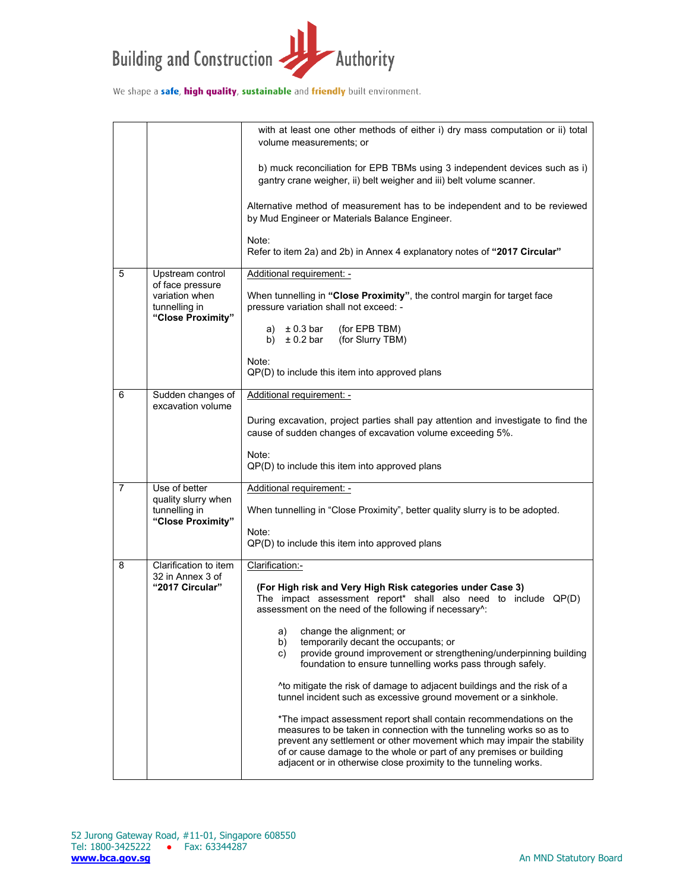

|                |                                                                                              | with at least one other methods of either i) dry mass computation or ii) total<br>volume measurements; or                                                                                                                                                                                                                                                        |
|----------------|----------------------------------------------------------------------------------------------|------------------------------------------------------------------------------------------------------------------------------------------------------------------------------------------------------------------------------------------------------------------------------------------------------------------------------------------------------------------|
|                |                                                                                              | b) muck reconciliation for EPB TBMs using 3 independent devices such as i)<br>gantry crane weigher, ii) belt weigher and iii) belt volume scanner.                                                                                                                                                                                                               |
|                |                                                                                              | Alternative method of measurement has to be independent and to be reviewed<br>by Mud Engineer or Materials Balance Engineer.                                                                                                                                                                                                                                     |
|                |                                                                                              | Note:<br>Refer to item 2a) and 2b) in Annex 4 explanatory notes of "2017 Circular"                                                                                                                                                                                                                                                                               |
| 5              | Upstream control<br>of face pressure<br>variation when<br>tunnelling in<br>"Close Proximity" | Additional requirement: -                                                                                                                                                                                                                                                                                                                                        |
|                |                                                                                              | When tunnelling in "Close Proximity", the control margin for target face<br>pressure variation shall not exceed: -                                                                                                                                                                                                                                               |
|                |                                                                                              | a) $\pm$ 0.3 bar<br>(for EPB TBM)<br>b) $\pm$ 0.2 bar<br>(for Slurry TBM)                                                                                                                                                                                                                                                                                        |
|                |                                                                                              | Note:<br>QP(D) to include this item into approved plans                                                                                                                                                                                                                                                                                                          |
| 6              | Sudden changes of<br>excavation volume                                                       | Additional requirement: -                                                                                                                                                                                                                                                                                                                                        |
|                |                                                                                              | During excavation, project parties shall pay attention and investigate to find the<br>cause of sudden changes of excavation volume exceeding 5%.                                                                                                                                                                                                                 |
|                |                                                                                              | Note:<br>QP(D) to include this item into approved plans                                                                                                                                                                                                                                                                                                          |
| $\overline{7}$ | Use of better                                                                                | Additional requirement: -                                                                                                                                                                                                                                                                                                                                        |
|                | quality slurry when<br>tunnelling in<br>"Close Proximity"                                    | When tunnelling in "Close Proximity", better quality slurry is to be adopted.                                                                                                                                                                                                                                                                                    |
|                |                                                                                              | Note:<br>QP(D) to include this item into approved plans                                                                                                                                                                                                                                                                                                          |
| 8              | Clarification to item<br>32 in Annex 3 of                                                    | Clarification:-                                                                                                                                                                                                                                                                                                                                                  |
|                | "2017 Circular"                                                                              | (For High risk and Very High Risk categories under Case 3)<br>The impact assessment report* shall also need to include QP(D)<br>assessment on the need of the following if necessary^:                                                                                                                                                                           |
|                |                                                                                              | change the alignment; or<br>a)<br>b)<br>temporarily decant the occupants; or<br>provide ground improvement or strengthening/underpinning building<br>C)<br>foundation to ensure tunnelling works pass through safely.                                                                                                                                            |
|                |                                                                                              | <sup>1</sup> Ato mitigate the risk of damage to adjacent buildings and the risk of a<br>tunnel incident such as excessive ground movement or a sinkhole.                                                                                                                                                                                                         |
|                |                                                                                              | *The impact assessment report shall contain recommendations on the<br>measures to be taken in connection with the tunneling works so as to<br>prevent any settlement or other movement which may impair the stability<br>of or cause damage to the whole or part of any premises or building<br>adjacent or in otherwise close proximity to the tunneling works. |